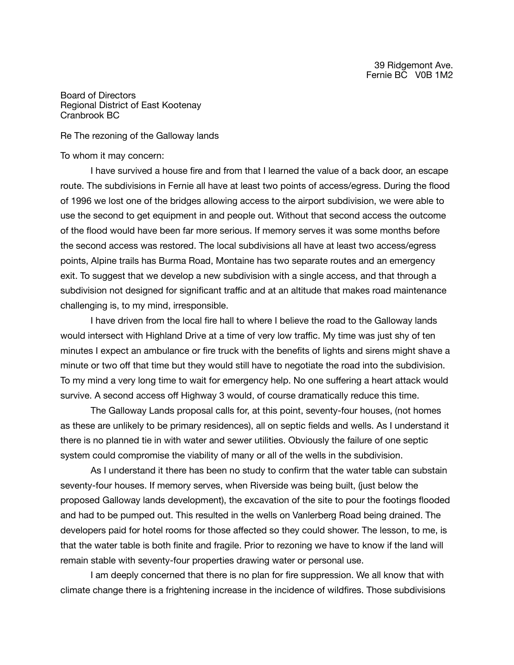Board of Directors Regional District of East Kootenay Cranbrook BC

Re The rezoning of the Galloway lands

## To whom it may concern:

I have survived a house fire and from that I learned the value of a back door, an escape route. The subdivisions in Fernie all have at least two points of access/egress. During the flood of 1996 we lost one of the bridges allowing access to the airport subdivision, we were able to use the second to get equipment in and people out. Without that second access the outcome of the flood would have been far more serious. If memory serves it was some months before the second access was restored. The local subdivisions all have at least two access/egress points, Alpine trails has Burma Road, Montaine has two separate routes and an emergency exit. To suggest that we develop a new subdivision with a single access, and that through a subdivision not designed for significant traffic and at an altitude that makes road maintenance challenging is, to my mind, irresponsible. 

I have driven from the local fire hall to where I believe the road to the Galloway lands would intersect with Highland Drive at a time of very low traffic. My time was just shy of ten minutes I expect an ambulance or fire truck with the benefits of lights and sirens might shave a minute or two off that time but they would still have to negotiate the road into the subdivision. To my mind a very long time to wait for emergency help. No one suffering a heart attack would survive. A second access off Highway 3 would, of course dramatically reduce this time.

The Galloway Lands proposal calls for, at this point, seventy-four houses, (not homes as these are unlikely to be primary residences), all on septic fields and wells. As I understand it there is no planned tie in with water and sewer utilities. Obviously the failure of one septic system could compromise the viability of many or all of the wells in the subdivision. 

As I understand it there has been no study to confirm that the water table can substain seventy-four houses. If memory serves, when Riverside was being built, (just below the proposed Galloway lands development), the excavation of the site to pour the footings flooded and had to be pumped out. This resulted in the wells on Vanlerberg Road being drained. The developers paid for hotel rooms for those affected so they could shower. The lesson, to me, is that the water table is both finite and fragile. Prior to rezoning we have to know if the land will remain stable with seventy-four properties drawing water or personal use.

I am deeply concerned that there is no plan for fire suppression. We all know that with climate change there is a frightening increase in the incidence of wildfires. Those subdivisions